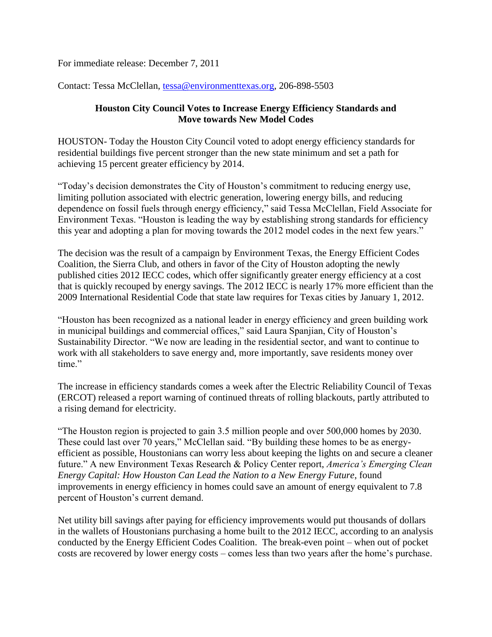For immediate release: December 7, 2011

Contact: Tessa McClellan, [tessa@environmenttexas.org,](mailto:tessa@environmenttexas.org) 206-898-5503

## **Houston City Council Votes to Increase Energy Efficiency Standards and Move towards New Model Codes**

HOUSTON- Today the Houston City Council voted to adopt energy efficiency standards for residential buildings five percent stronger than the new state minimum and set a path for achieving 15 percent greater efficiency by 2014.

"Today's decision demonstrates the City of Houston's commitment to reducing energy use, limiting pollution associated with electric generation, lowering energy bills, and reducing dependence on fossil fuels through energy efficiency," said Tessa McClellan, Field Associate for Environment Texas. "Houston is leading the way by establishing strong standards for efficiency this year and adopting a plan for moving towards the 2012 model codes in the next few years."

The decision was the result of a campaign by Environment Texas, the Energy Efficient Codes Coalition, the Sierra Club, and others in favor of the City of Houston adopting the newly published cities 2012 IECC codes, which offer significantly greater energy efficiency at a cost that is quickly recouped by energy savings. The 2012 IECC is nearly 17% more efficient than the 2009 International Residential Code that state law requires for Texas cities by January 1, 2012.

"Houston has been recognized as a national leader in energy efficiency and green building work in municipal buildings and commercial offices," said Laura Spanjian, City of Houston's Sustainability Director. "We now are leading in the residential sector, and want to continue to work with all stakeholders to save energy and, more importantly, save residents money over time"

The increase in efficiency standards comes a week after the Electric Reliability Council of Texas (ERCOT) released a report warning of continued threats of rolling blackouts, partly attributed to a rising demand for electricity.

"The Houston region is projected to gain 3.5 million people and over 500,000 homes by 2030. These could last over 70 years," McClellan said. "By building these homes to be as energyefficient as possible, Houstonians can worry less about keeping the lights on and secure a cleaner future." A new Environment Texas Research & Policy Center report, *America's Emerging Clean Energy Capital: How Houston Can Lead the Nation to a New Energy Future*, found improvements in energy efficiency in homes could save an amount of energy equivalent to 7.8 percent of Houston's current demand.

Net utility bill savings after paying for efficiency improvements would put thousands of dollars in the wallets of Houstonians purchasing a home built to the 2012 IECC, according to an analysis conducted by the Energy Efficient Codes Coalition. The break-even point – when out of pocket costs are recovered by lower energy costs – comes less than two years after the home's purchase.